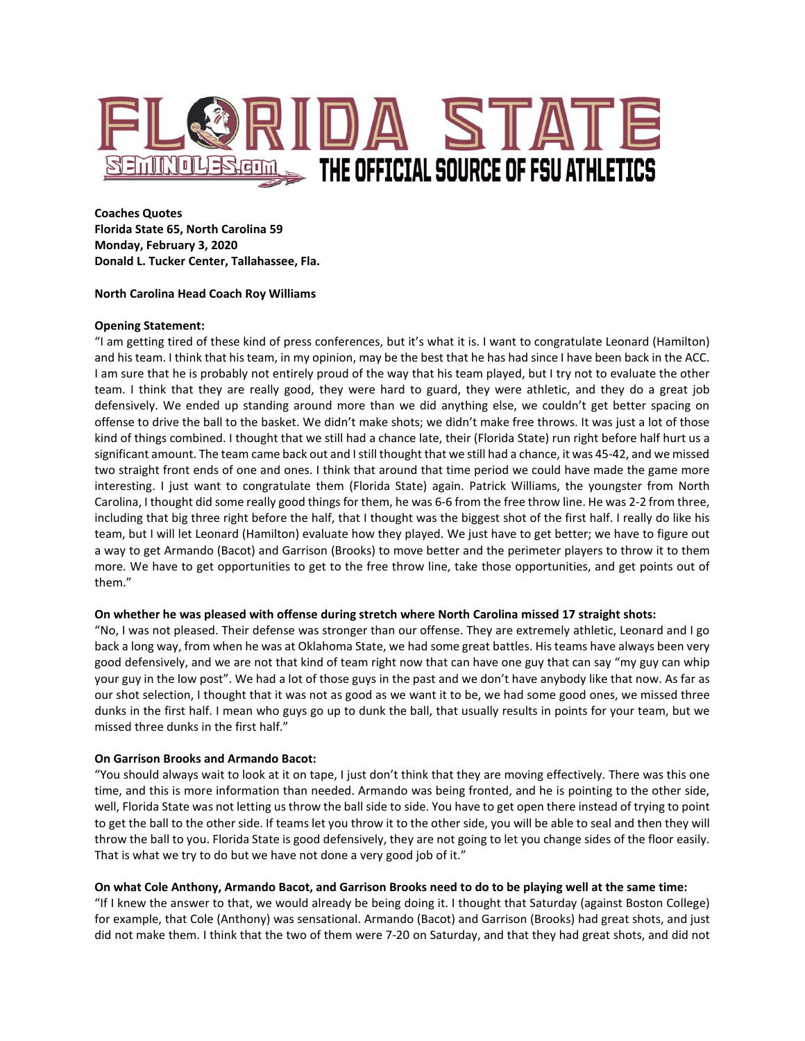

**Coaches Quotes Florida State 65, North Carolina 59 Monday, February 3, 2020 Donald L. Tucker Center, Tallahassee, Fla.**

#### **North Carolina Head Coach Roy Williams**

#### **Opening Statement:**

"I am getting tired of these kind of press conferences, but it's what it is. I want to congratulate Leonard (Hamilton) and his team. I think that his team, in my opinion, may be the best that he has had since I have been back in the ACC. I am sure that he is probably not entirely proud of the way that his team played, but I try not to evaluate the other team. I think that they are really good, they were hard to guard, they were athletic, and they do a great job defensively. We ended up standing around more than we did anything else, we couldn't get better spacing on offense to drive the ball to the basket. We didn't make shots; we didn't make free throws. It was just a lot of those kind of things combined. I thought that we still had a chance late, their (Florida State) run right before half hurt us a significant amount. The team came back out and I still thought that we still had a chance, it was 45-42, and we missed two straight front ends of one and ones. I think that around that time period we could have made the game more interesting. I just want to congratulate them (Florida State) again. Patrick Williams, the youngster from North Carolina, I thought did some really good things for them, he was 6-6 from the free throw line. He was 2-2 from three, including that big three right before the half, that I thought was the biggest shot of the first half. I really do like his team, but I will let Leonard (Hamilton) evaluate how they played. We just have to get better; we have to figure out a way to get Armando (Bacot) and Garrison (Brooks) to move better and the perimeter players to throw it to them more. We have to get opportunities to get to the free throw line, take those opportunities, and get points out of them."

## **On whether he was pleased with offense during stretch where North Carolina missed 17 straight shots:**

"No, I was not pleased. Their defense was stronger than our offense. They are extremely athletic, Leonard and I go back a long way, from when he was at Oklahoma State, we had some great battles. His teams have always been very good defensively, and we are not that kind of team right now that can have one guy that can say "my guy can whip your guy in the low post". We had a lot of those guys in the past and we don't have anybody like that now. As far as our shot selection, I thought that it was not as good as we want it to be, we had some good ones, we missed three dunks in the first half. I mean who guys go up to dunk the ball, that usually results in points for your team, but we missed three dunks in the first half."

### **On Garrison Brooks and Armando Bacot:**

"You should always wait to look at it on tape, I just don't think that they are moving effectively. There was this one time, and this is more information than needed. Armando was being fronted, and he is pointing to the other side, well, Florida State was not letting us throw the ball side to side. You have to get open there instead of trying to point to get the ball to the other side. If teams let you throw it to the other side, you will be able to seal and then they will throw the ball to you. Florida State is good defensively, they are not going to let you change sides of the floor easily. That is what we try to do but we have not done a very good job of it."

### **On what Cole Anthony, Armando Bacot, and Garrison Brooks need to do to be playing well at the same time:**

"If I knew the answer to that, we would already be being doing it. I thought that Saturday (against Boston College) for example, that Cole (Anthony) was sensational. Armando (Bacot) and Garrison (Brooks) had great shots, and just did not make them. I think that the two of them were 7-20 on Saturday, and that they had great shots, and did not